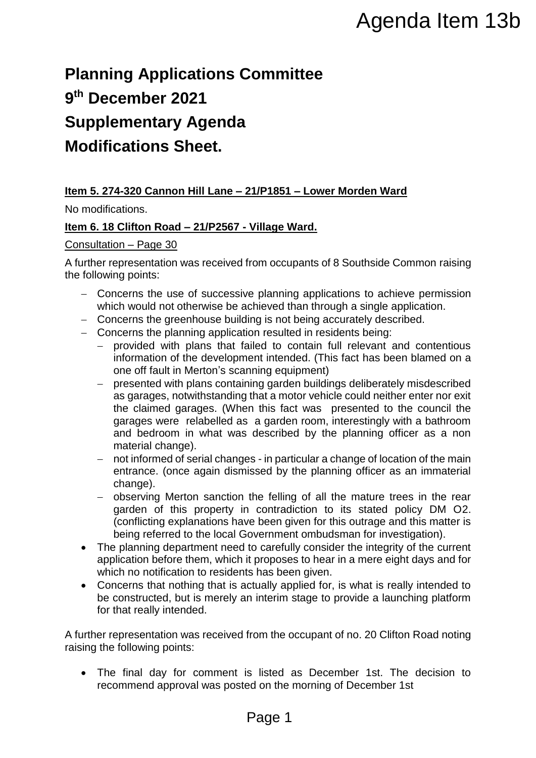# **Planning Applications Committee 9 th December 2021 Supplementary Agenda Modifications Sheet.**

# **Item 5. 274-320 Cannon Hill Lane – 21/P1851 – Lower Morden Ward**

No modifications.

# **Item 6. 18 Clifton Road – 21/P2567 - Village Ward.**

#### Consultation – Page 30

A further representation was received from occupants of 8 Southside Common raising the following points:

- Concerns the use of successive planning applications to achieve permission which would not otherwise be achieved than through a single application.
- Concerns the greenhouse building is not being accurately described.
- Concerns the planning application resulted in residents being:
	- provided with plans that failed to contain full relevant and contentious information of the development intended. (This fact has been blamed on a one off fault in Merton's scanning equipment)
- presented with plans containing garden buildings deliberately misdescribed as garages, notwithstanding that a motor vehicle could neither enter nor exit the claimed garages. (When this fact was presented to the council the garages were relabelled as a garden room, interestingly with a bathroom and bedroom in what was described by the planning officer as a non material change). Agenda Item 13b<br>
20 Committee<br>
21/P1851 – Lower Morden Ward<br>
21/H1851 – Lower Morden Ward<br>
21/H1861 – Lower Morden Ward<br>
21/H1861 – Lower Morden Scoutistie Common raising<br>
21/Finals in the being accurately described.<br>
21/F
	- not informed of serial changes in particular a change of location of the main entrance. (once again dismissed by the planning officer as an immaterial change).
	- observing Merton sanction the felling of all the mature trees in the rear garden of this property in contradiction to its stated policy DM O2. (conflicting explanations have been given for this outrage and this matter is being referred to the local Government ombudsman for investigation).
- The planning department need to carefully consider the integrity of the current application before them, which it proposes to hear in a mere eight days and for which no notification to residents has been given.
- Concerns that nothing that is actually applied for, is what is really intended to be constructed, but is merely an interim stage to provide a launching platform for that really intended.

A further representation was received from the occupant of no. 20 Clifton Road noting raising the following points:

 The final day for comment is listed as December 1st. The decision to recommend approval was posted on the morning of December 1st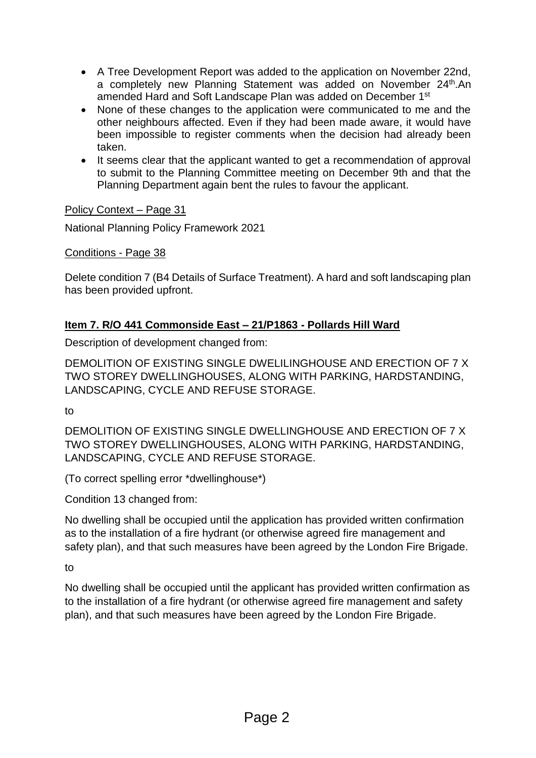- A Tree Development Report was added to the application on November 22nd, a completely new Planning Statement was added on November 24<sup>th</sup>.An amended Hard and Soft Landscape Plan was added on December 1st
- None of these changes to the application were communicated to me and the other neighbours affected. Even if they had been made aware, it would have been impossible to register comments when the decision had already been taken.
- It seems clear that the applicant wanted to get a recommendation of approval to submit to the Planning Committee meeting on December 9th and that the Planning Department again bent the rules to favour the applicant.

# Policy Context – Page 31

National Planning Policy Framework 2021

Conditions - Page 38

Delete condition 7 (B4 Details of Surface Treatment). A hard and soft landscaping plan has been provided upfront.

# **Item 7. R/O 441 Commonside East – 21/P1863 - Pollards Hill Ward**

Description of development changed from:

DEMOLITION OF EXISTING SINGLE DWELILINGHOUSE AND ERECTION OF 7 X TWO STOREY DWELLINGHOUSES, ALONG WITH PARKING, HARDSTANDING, LANDSCAPING, CYCLE AND REFUSE STORAGE.

to

DEMOLITION OF EXISTING SINGLE DWELLINGHOUSE AND ERECTION OF 7 X TWO STOREY DWELLINGHOUSES, ALONG WITH PARKING, HARDSTANDING, LANDSCAPING, CYCLE AND REFUSE STORAGE.

(To correct spelling error \*dwellinghouse\*)

Condition 13 changed from:

No dwelling shall be occupied until the application has provided written confirmation as to the installation of a fire hydrant (or otherwise agreed fire management and safety plan), and that such measures have been agreed by the London Fire Brigade.

to

No dwelling shall be occupied until the applicant has provided written confirmation as to the installation of a fire hydrant (or otherwise agreed fire management and safety plan), and that such measures have been agreed by the London Fire Brigade.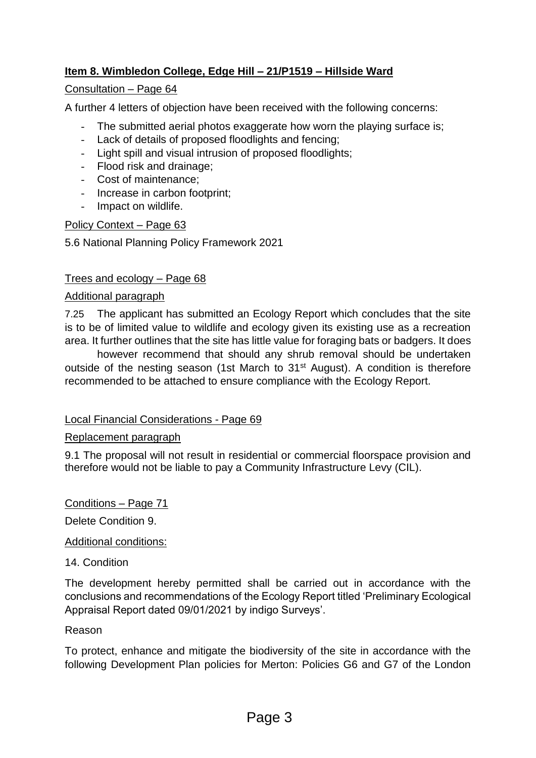# **Item 8. Wimbledon College, Edge Hill – 21/P1519 – Hillside Ward**

# Consultation – Page 64

A further 4 letters of objection have been received with the following concerns:

- The submitted aerial photos exaggerate how worn the playing surface is;
- Lack of details of proposed floodlights and fencing;
- Light spill and visual intrusion of proposed floodlights;
- Flood risk and drainage;
- Cost of maintenance;
- Increase in carbon footprint;
- Impact on wildlife.

#### Policy Context – Page 63

5.6 National Planning Policy Framework 2021

#### Trees and ecology – Page 68

#### Additional paragraph

7.25 The applicant has submitted an Ecology Report which concludes that the site is to be of limited value to wildlife and ecology given its existing use as a recreation area. It further outlines that the site has little value for foraging bats or badgers. It does

however recommend that should any shrub removal should be undertaken outside of the nesting season (1st March to 31<sup>st</sup> August). A condition is therefore recommended to be attached to ensure compliance with the Ecology Report.

#### Local Financial Considerations - Page 69

#### Replacement paragraph

9.1 The proposal will not result in residential or commercial floorspace provision and therefore would not be liable to pay a Community Infrastructure Levy (CIL).

Conditions – Page 71

Delete Condition 9.

#### Additional conditions:

#### 14. Condition

The development hereby permitted shall be carried out in accordance with the conclusions and recommendations of the Ecology Report titled 'Preliminary Ecological Appraisal Report dated 09/01/2021 by indigo Surveys'.

#### Reason

To protect, enhance and mitigate the biodiversity of the site in accordance with the following Development Plan policies for Merton: Policies G6 and G7 of the London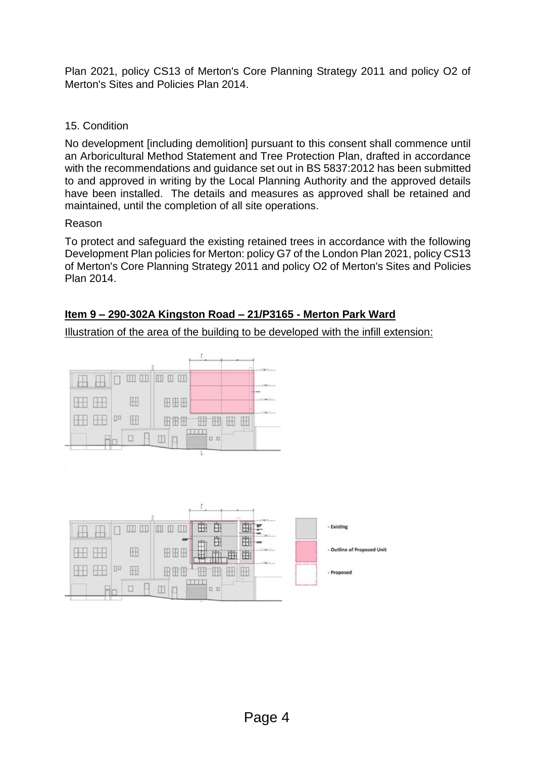Plan 2021, policy CS13 of Merton's Core Planning Strategy 2011 and policy O2 of Merton's Sites and Policies Plan 2014.

# 15. Condition

No development [including demolition] pursuant to this consent shall commence until an Arboricultural Method Statement and Tree Protection Plan, drafted in accordance with the recommendations and guidance set out in BS 5837:2012 has been submitted to and approved in writing by the Local Planning Authority and the approved details have been installed. The details and measures as approved shall be retained and maintained, until the completion of all site operations.

# Reason

To protect and safeguard the existing retained trees in accordance with the following Development Plan policies for Merton: policy G7 of the London Plan 2021, policy CS13 of Merton's Core Planning Strategy 2011 and policy O2 of Merton's Sites and Policies Plan 2014.

# **Item 9 – 290-302A Kingston Road – 21/P3165 - Merton Park Ward**

Illustration of the area of the building to be developed with the infill extension:



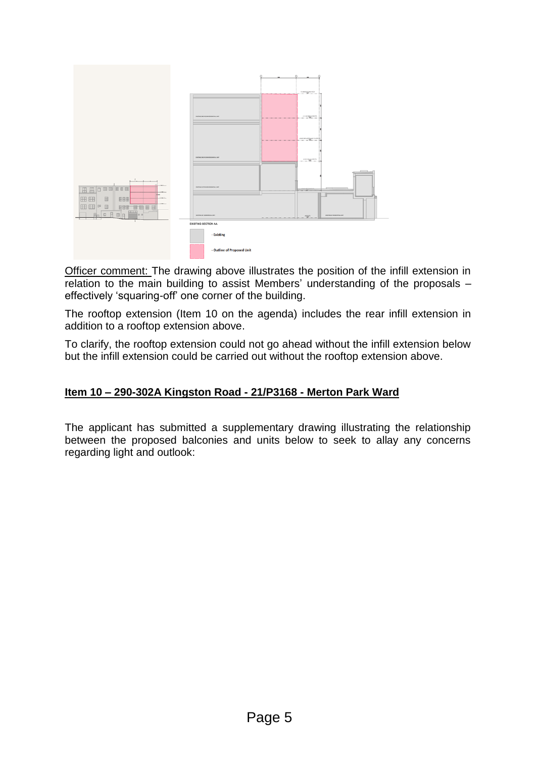

Officer comment: The drawing above illustrates the position of the infill extension in relation to the main building to assist Members' understanding of the proposals – effectively 'squaring-off' one corner of the building.

The rooftop extension (Item 10 on the agenda) includes the rear infill extension in addition to a rooftop extension above.

To clarify, the rooftop extension could not go ahead without the infill extension below but the infill extension could be carried out without the rooftop extension above.

# **Item 10 – 290-302A Kingston Road - 21/P3168 - Merton Park Ward**

The applicant has submitted a supplementary drawing illustrating the relationship between the proposed balconies and units below to seek to allay any concerns regarding light and outlook: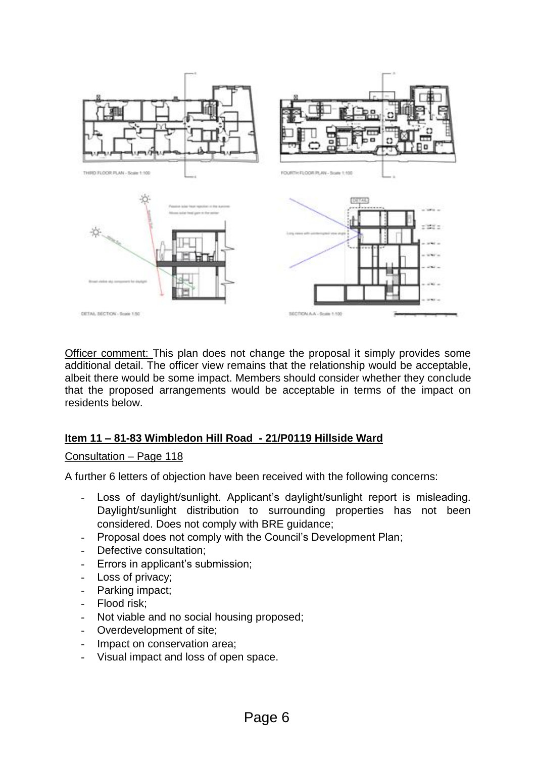

Officer comment: This plan does not change the proposal it simply provides some additional detail. The officer view remains that the relationship would be acceptable, albeit there would be some impact. Members should consider whether they conclude that the proposed arrangements would be acceptable in terms of the impact on residents below.

# **Item 11 – 81-83 Wimbledon Hill Road - 21/P0119 Hillside Ward**

#### Consultation – Page 118

A further 6 letters of objection have been received with the following concerns:

- Loss of daylight/sunlight. Applicant's daylight/sunlight report is misleading. Daylight/sunlight distribution to surrounding properties has not been considered. Does not comply with BRE guidance;
- Proposal does not comply with the Council's Development Plan;
- Defective consultation;
- Errors in applicant's submission;
- Loss of privacy;
- Parking impact;
- Flood risk:
- Not viable and no social housing proposed;
- Overdevelopment of site;
- Impact on conservation area;
- Visual impact and loss of open space.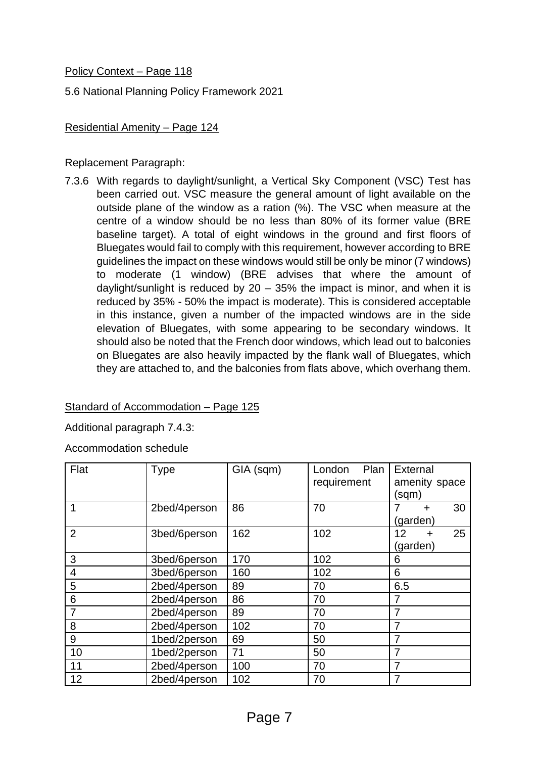# Policy Context – Page 118

5.6 National Planning Policy Framework 2021

# Residential Amenity – Page 124

Replacement Paragraph:

7.3.6 With regards to daylight/sunlight, a Vertical Sky Component (VSC) Test has been carried out. VSC measure the general amount of light available on the outside plane of the window as a ration (%). The VSC when measure at the centre of a window should be no less than 80% of its former value (BRE baseline target). A total of eight windows in the ground and first floors of Bluegates would fail to comply with this requirement, however according to BRE guidelines the impact on these windows would still be only be minor (7 windows) to moderate (1 window) (BRE advises that where the amount of daylight/sunlight is reduced by  $20 - 35%$  the impact is minor, and when it is reduced by 35% - 50% the impact is moderate). This is considered acceptable in this instance, given a number of the impacted windows are in the side elevation of Bluegates, with some appearing to be secondary windows. It should also be noted that the French door windows, which lead out to balconies on Bluegates are also heavily impacted by the flank wall of Bluegates, which they are attached to, and the balconies from flats above, which overhang them.

# Standard of Accommodation – Page 125

Additional paragraph 7.4.3:

Accommodation schedule

| Flat           | <b>Type</b>  | GIA (sqm) | Plan<br>London<br>requirement | External<br>amenity space |
|----------------|--------------|-----------|-------------------------------|---------------------------|
|                |              |           |                               | (sqm)                     |
|                | 2bed/4person | 86        | 70                            | 30<br>÷                   |
|                |              |           |                               | (garden)                  |
| $\overline{2}$ | 3bed/6person | 162       | 102                           | 25<br>12                  |
|                |              |           |                               | (garden)                  |
| 3              | 3bed/6person | 170       | 102                           | 6                         |
| $\overline{4}$ | 3bed/6person | 160       | 102                           | 6                         |
| 5              | 2bed/4person | 89        | 70                            | 6.5                       |
| 6              | 2bed/4person | 86        | 70                            |                           |
| 7              | 2bed/4person | 89        | 70                            |                           |
| 8              | 2bed/4person | 102       | 70                            |                           |
| 9              | 1bed/2person | 69        | 50                            | 7                         |
| 10             | 1bed/2person | 71        | 50                            |                           |
| 11             | 2bed/4person | 100       | 70                            | 7                         |
| 12             | 2bed/4person | 102       | 70                            |                           |